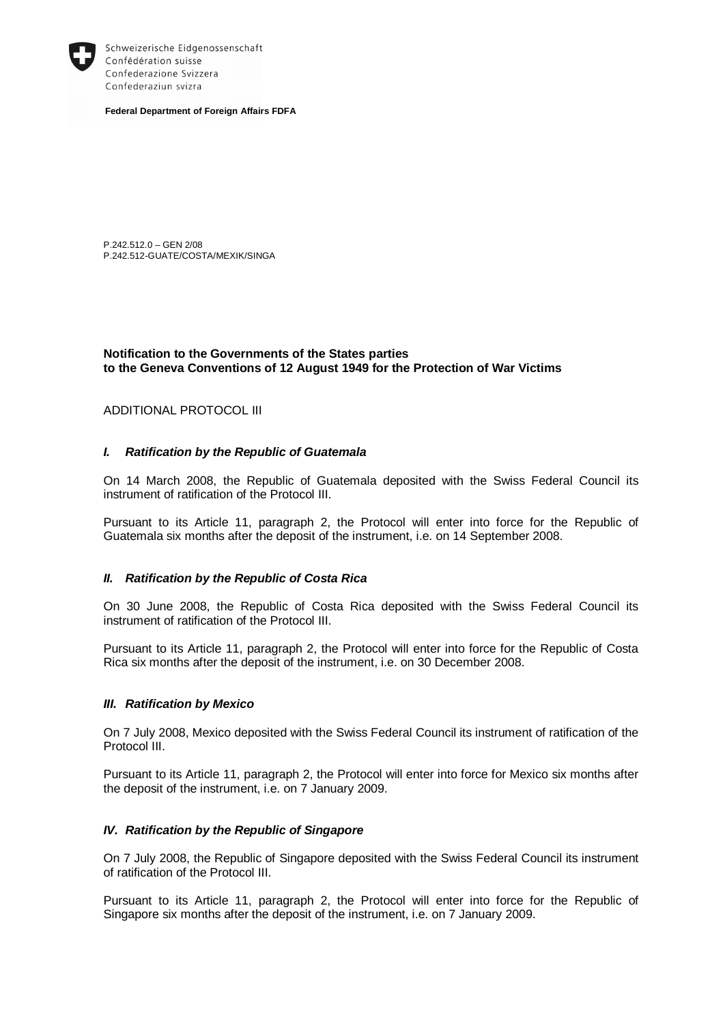

Schweizerische Eidgenossenschaft Confédération suisse Confederazione Svizzera Confederaziun svizra

**Federal Department of Foreign Affairs FDFA** 

P.242.512.0 – GEN 2/08 P.242.512-GUATE/COSTA/MEXIK/SINGA

**Notification to the Governments of the States parties to the Geneva Conventions of 12 August 1949 for the Protection of War Victims** 

# ADDITIONAL PROTOCOL III

# *I. Ratification by the Republic of Guatemala*

On 14 March 2008, the Republic of Guatemala deposited with the Swiss Federal Council its instrument of ratification of the Protocol III.

Pursuant to its Article 11, paragraph 2, the Protocol will enter into force for the Republic of Guatemala six months after the deposit of the instrument, i.e. on 14 September 2008.

# *II. Ratification by the Republic of Costa Rica*

On 30 June 2008, the Republic of Costa Rica deposited with the Swiss Federal Council its instrument of ratification of the Protocol III.

Pursuant to its Article 11, paragraph 2, the Protocol will enter into force for the Republic of Costa Rica six months after the deposit of the instrument, i.e. on 30 December 2008.

# *III. Ratification by Mexico*

On 7 July 2008, Mexico deposited with the Swiss Federal Council its instrument of ratification of the Protocol III.

Pursuant to its Article 11, paragraph 2, the Protocol will enter into force for Mexico six months after the deposit of the instrument, i.e. on 7 January 2009.

# *IV. Ratification by the Republic of Singapore*

On 7 July 2008, the Republic of Singapore deposited with the Swiss Federal Council its instrument of ratification of the Protocol III.

Pursuant to its Article 11, paragraph 2, the Protocol will enter into force for the Republic of Singapore six months after the deposit of the instrument, i.e. on 7 January 2009.